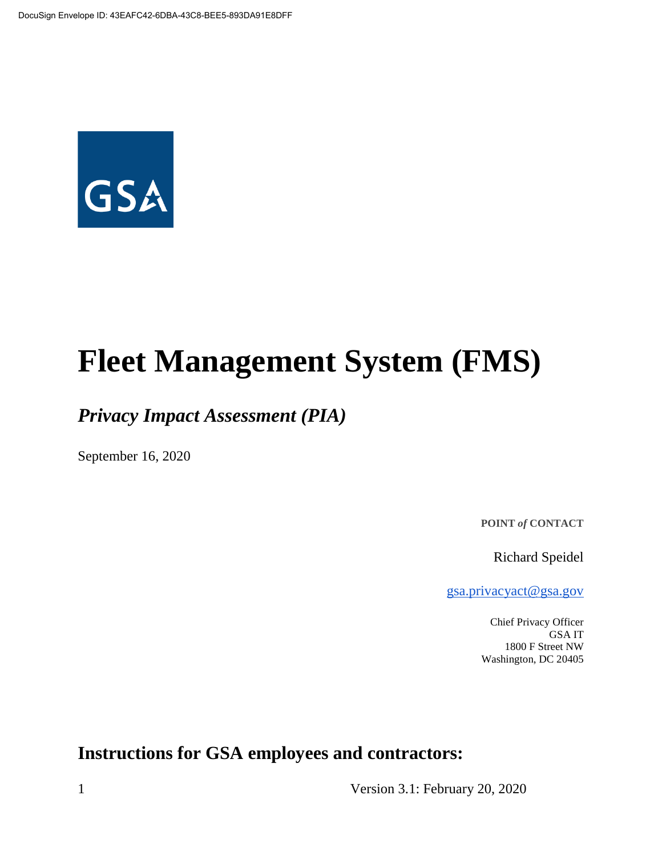

# **Fleet Management System (FMS)**

# *Privacy Impact Assessment (PIA)*

September 16, 2020

**POINT** *of* **CONTACT**

Richard Speidel

[gsa.privacyact@gsa.gov](mailto:gsa.privacyact@gsa.gov)

Chief Privacy Officer GSA IT 1800 F Street NW Washington, DC 20405

**Instructions for GSA employees and contractors:**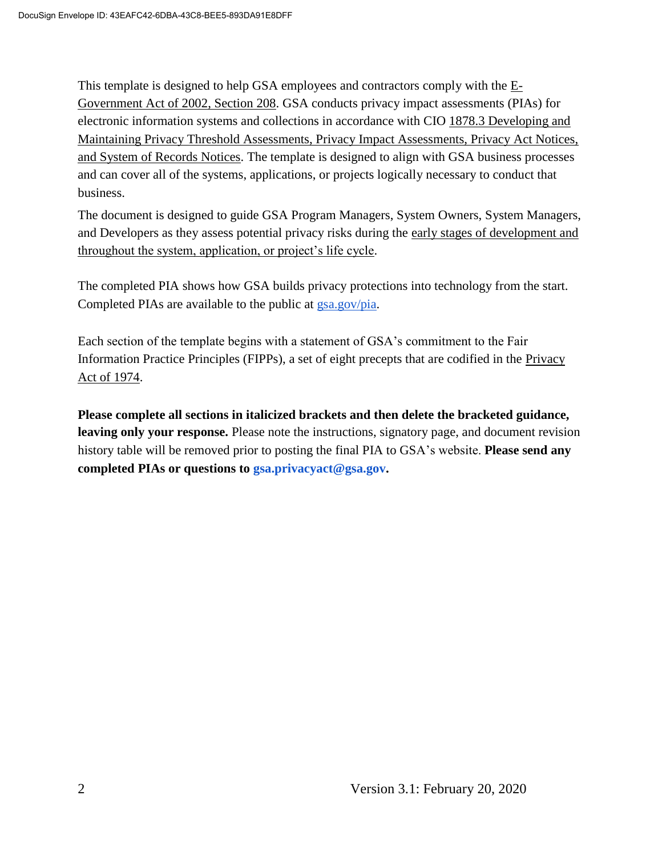This template is designed to help GSA employees and contractors comply with th[e](https://www.justice.gov/opcl/e-government-act-2002) [E-](https://www.justice.gov/opcl/e-government-act-2002)[Government Act of 2002, Section 208.](https://www.justice.gov/opcl/e-government-act-2002) GSA conducts privacy impact assessments (PIAs) for electronic information systems and collections in accordance with [CIO 1878.3 Developing and](https://insite.gsa.gov/directives-library/developing-and-maintaining-privacy-threshold-assessments-privacy-impact-assessments-privacy-act-notices-and-system-of-records-notices-18783-cio)  [Maintaining Privacy Threshold Assessments, Privacy Impact Assessments, Privacy Act Notices,](https://insite.gsa.gov/directives-library/developing-and-maintaining-privacy-threshold-assessments-privacy-impact-assessments-privacy-act-notices-and-system-of-records-notices-18783-cio)  [and System of Records Notices.](https://insite.gsa.gov/directives-library/developing-and-maintaining-privacy-threshold-assessments-privacy-impact-assessments-privacy-act-notices-and-system-of-records-notices-18783-cio) The template is designed to align with GSA business processes and can cover all of the systems, applications, or projects logically necessary to conduct that business.

The document is designed to guide GSA Program Managers, System Owners, System Managers, and Developers as they assess potential privacy risks during th[e](https://insite.gsa.gov/cdnstatic/insite/Managing_Enterprise_Risk_%5BCIO_IT_Security_06-30_Rev_14%5D_02-01-2019.pdf) [early stages of development and](https://insite.gsa.gov/cdnstatic/insite/Managing_Enterprise_Risk_%5BCIO_IT_Security_06-30_Rev_14%5D_02-01-2019.pdf)  [throughout the system, application, or project's life cycle.](https://insite.gsa.gov/cdnstatic/insite/Managing_Enterprise_Risk_%5BCIO_IT_Security_06-30_Rev_14%5D_02-01-2019.pdf)

The completed PIA shows how GSA builds privacy protections into technology from the start. Completed PIAs are available to the public at [gsa.gov/pia.](https://www.gsa.gov/reference/gsa-privacy-program/privacy-impact-assessments-pia)

Each section of the template begins with a statement of GSA's commitment to the Fair Information Practice Principles (FIPPs), a set of eight precepts that are codified in the [Privacy](https://www.justice.gov/opcl/policy-objectives)  [Act of 1974.](https://www.justice.gov/opcl/policy-objectives)

**Please complete all sections in italicized brackets and then delete the bracketed guidance, leaving only your response.** Please note the instructions, signatory page, and document revision history table will be removed prior to posting the final PIA to GSA's website. **Please send any completed PIAs or questions to gsa.privacyact@gsa.gov.**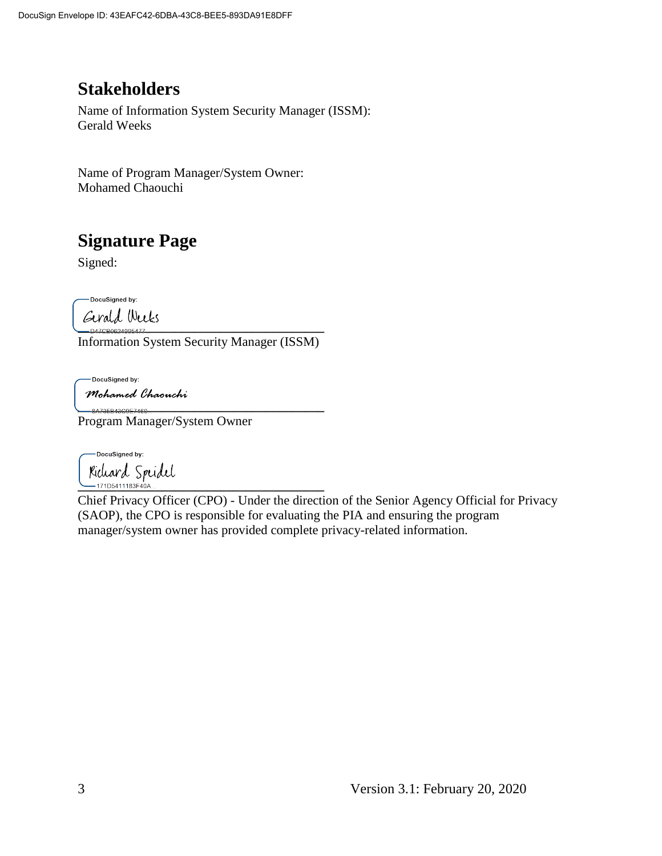# **Stakeholders**

Name of Information System Security Manager (ISSM): Gerald Weeks

Name of Program Manager/System Owner: Mohamed Chaouchi

# **Signature Page**

Signed:

-DocuSigned by:

**\_\_\_\_\_\_\_\_\_\_\_\_\_\_\_\_\_\_\_\_\_\_\_\_\_\_\_\_\_\_\_\_\_\_\_\_\_\_**

Information System Security Manager (ISSM)

-DocuSigned by: Mohamed Chaouchi

**\_\_\_\_\_\_\_\_\_\_\_\_\_\_\_\_\_\_\_\_\_\_\_\_\_\_\_\_\_\_\_\_\_\_\_\_\_\_** Program Manager/System Owner

-DocuSigned by: Kichard Spridel

Chief Privacy Officer (CPO) - Under the direction of the Senior Agency Official for Privacy (SAOP), the CPO is responsible for evaluating the PIA and ensuring the program manager/system owner has provided complete privacy-related information.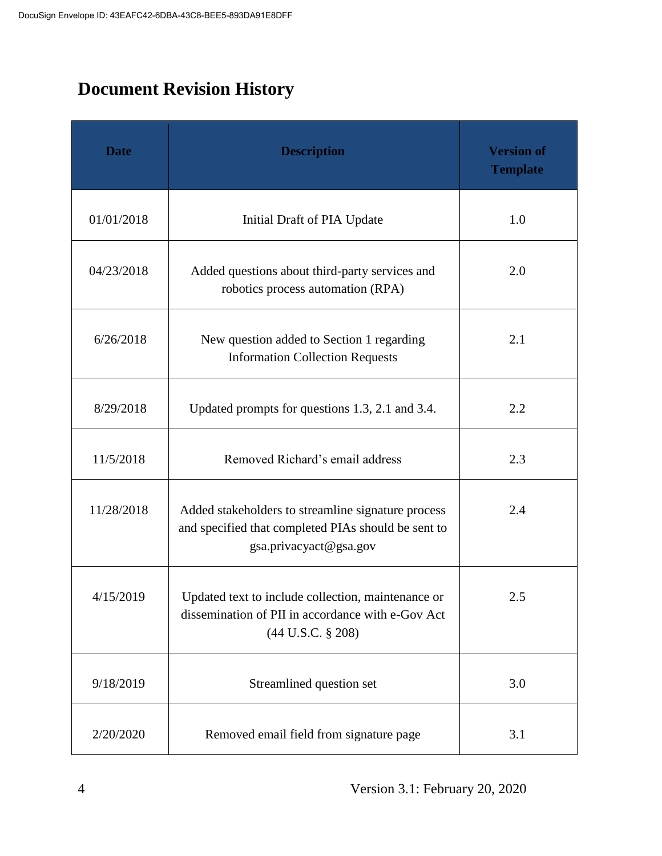# **Document Revision History**

| <b>Date</b> | <b>Description</b>                                                                                                                  | <b>Version of</b><br><b>Template</b> |
|-------------|-------------------------------------------------------------------------------------------------------------------------------------|--------------------------------------|
| 01/01/2018  | Initial Draft of PIA Update                                                                                                         | 1.0                                  |
| 04/23/2018  | Added questions about third-party services and<br>robotics process automation (RPA)                                                 | 2.0                                  |
| 6/26/2018   | New question added to Section 1 regarding<br><b>Information Collection Requests</b>                                                 | 2.1                                  |
| 8/29/2018   | Updated prompts for questions 1.3, 2.1 and 3.4.                                                                                     | 2.2                                  |
| 11/5/2018   | Removed Richard's email address                                                                                                     | 2.3                                  |
| 11/28/2018  | Added stakeholders to streamline signature process<br>and specified that completed PIAs should be sent to<br>gsa.privacyact@gsa.gov | 2.4                                  |
| 4/15/2019   | Updated text to include collection, maintenance or<br>dissemination of PII in accordance with e-Gov Act<br>$(44$ U.S.C. § 208)      | 2.5                                  |
| 9/18/2019   | Streamlined question set                                                                                                            | 3.0                                  |
| 2/20/2020   | Removed email field from signature page                                                                                             | 3.1                                  |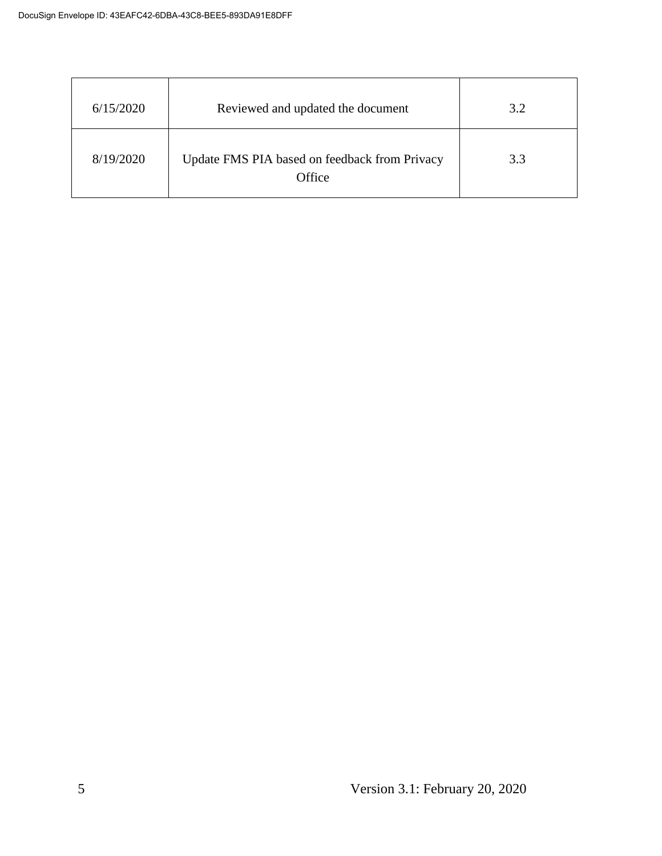| 6/15/2020 | Reviewed and updated the document                       | 3.2 |
|-----------|---------------------------------------------------------|-----|
| 8/19/2020 | Update FMS PIA based on feedback from Privacy<br>Office | 3.3 |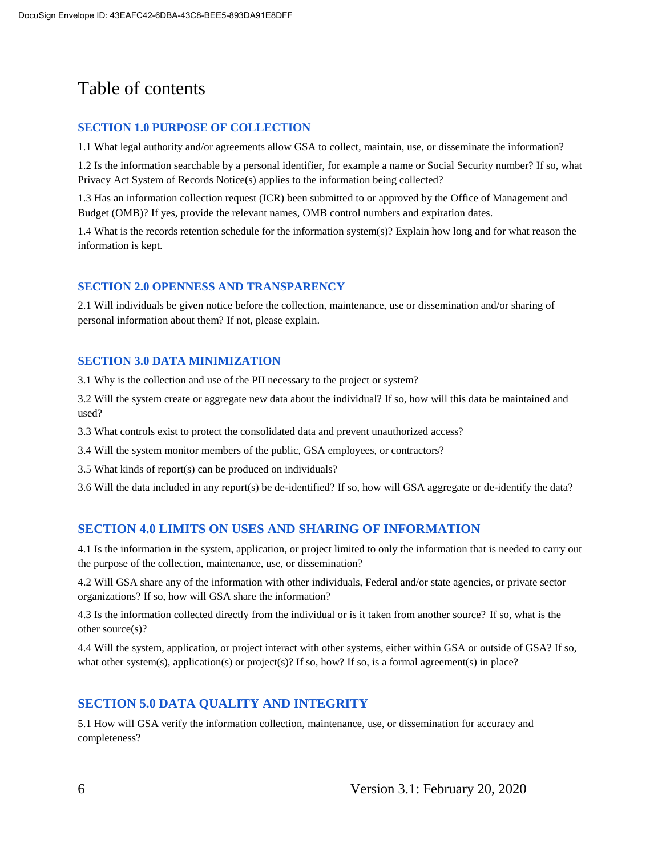# Table of contents

#### **SECTION 1.0 PURPOSE OF COLLECTION**

1.1 What legal authority and/or agreements allow GSA to collect, maintain, use, or disseminate the information?

1.2 Is the information searchable by a personal identifier, for example a name or Social Security number? If so, what Privacy Act System of Records Notice(s) applies to the information being collected?

1.3 Has an information collection request (ICR) been submitted to or approved by the Office of Management and Budget (OMB)? If yes, provide the relevant names, OMB control numbers and expiration dates.

1.4 What is the records retention schedule for the information system(s)? Explain how long and for what reason the information is kept.

#### **SECTION 2.0 OPENNESS AND TRANSPARENCY**

2.1 Will individuals be given notice before the collection, maintenance, use or dissemination and/or sharing of personal information about them? If not, please explain.

#### **SECTION 3.0 DATA MINIMIZATION**

3.1 Why is the collection and use of the PII necessary to the project or system?

3.2 Will the system create or aggregate new data about the individual? If so, how will this data be maintained and used?

3.3 What controls exist to protect the consolidated data and prevent unauthorized access?

3.4 Will the system monitor members of the public, GSA employees, or contractors?

3.5 What kinds of report(s) can be produced on individuals?

3.6 Will the data included in any report(s) be de-identified? If so, how will GSA aggregate or de-identify the data?

#### **SECTION 4.0 LIMITS ON USES AND SHARING OF INFORMATION**

4.1 Is the information in the system, application, or project limited to only the information that is needed to carry out the purpose of the collection, maintenance, use, or dissemination?

4.2 Will GSA share any of the information with other individuals, Federal and/or state agencies, or private sector organizations? If so, how will GSA share the information?

4.3 Is the information collected directly from the individual or is it taken from another source? If so, what is the other source(s)?

4.4 Will the system, application, or project interact with other systems, either within GSA or outside of GSA? If so, what other system(s), application(s) or project(s)? If so, how? If so, is a formal agreement(s) in place?

#### **SECTION 5.0 DATA QUALITY AND INTEGRITY**

5.1 How will GSA verify the information collection, maintenance, use, or dissemination for accuracy and completeness?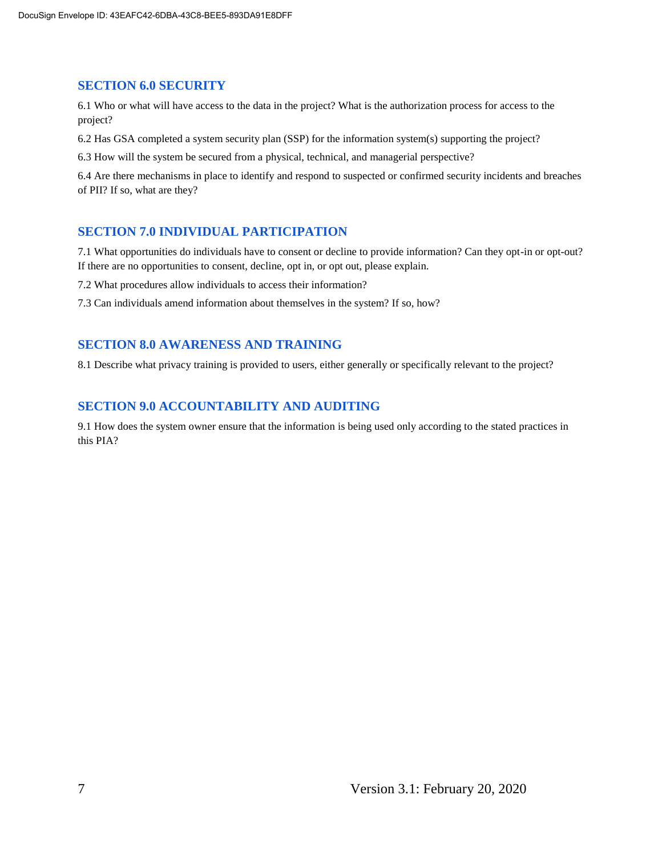#### **SECTION 6.0 SECURITY**

6.1 Who or what will have access to the data in the project? What is the authorization process for access to the project?

6.2 Has GSA completed a system security plan (SSP) for the information system(s) supporting the project?

6.3 How will the system be secured from a physical, technical, and managerial perspective?

6.4 Are there mechanisms in place to identify and respond to suspected or confirmed security incidents and breaches of PII? If so, what are they?

#### **SECTION 7.0 INDIVIDUAL PARTICIPATION**

7.1 What opportunities do individuals have to consent or decline to provide information? Can they opt-in or opt-out? If there are no opportunities to consent, decline, opt in, or opt out, please explain.

7.2 What procedures allow individuals to access their information?

7.3 Can individuals amend information about themselves in the system? If so, how?

#### **SECTION 8.0 AWARENESS AND TRAINING**

8.1 Describe what privacy training is provided to users, either generally or specifically relevant to the project?

#### **SECTION 9.0 ACCOUNTABILITY AND AUDITING**

9.1 How does the system owner ensure that the information is being used only according to the stated practices in this PIA?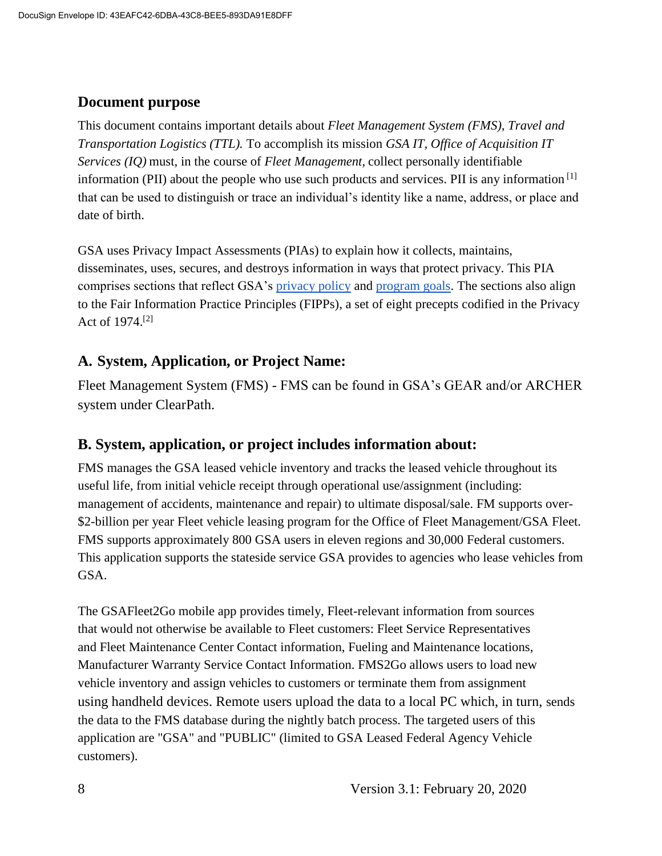#### **Document purpose**

This document contains important details about *Fleet Management System (FMS), Travel and Transportation Logistics (TTL).* To accomplish its mission *GSA IT, Office of Acquisition IT Services (IQ)* must, in the course of *Fleet Management,* collect personally identifiable information (PII) about the people who use such products and services. PII is any information  $^{[1]}$ that can be used to distinguish or trace an individual's identity like a name, address, or place and date of birth.

GSA uses Privacy Impact Assessments (PIAs) to explain how it collects, maintains, disseminates, uses, secures, and destroys information in ways that protect privacy. This PIA comprises sections that reflect GSA's [privacy policy](https://www.gsa.gov/website-information/privacy-and-security-notice) and [program goals.](https://www.gsa.gov/portal/category/21419) The sections also align to the Fair Information Practice Principles (FIPPs), a set of eight precepts codified in the Privacy Act of 1974.[2]

#### **A. System, Application, or Project Name:**

Fleet Management System (FMS) - FMS can be found in GSA's GEAR and/or ARCHER system under ClearPath.

#### **B. System, application, or project includes information about:**

FMS manages the GSA leased vehicle inventory and tracks the leased vehicle throughout its useful life, from initial vehicle receipt through operational use/assignment (including: management of accidents, maintenance and repair) to ultimate disposal/sale. FM supports over- \$2-billion per year Fleet vehicle leasing program for the Office of Fleet Management/GSA Fleet. FMS supports approximately 800 GSA users in eleven regions and 30,000 Federal customers. This application supports the stateside service GSA provides to agencies who lease vehicles from GSA.

The GSAFleet2Go mobile app provides timely, Fleet-relevant information from sources that would not otherwise be available to Fleet customers: Fleet Service Representatives and Fleet Maintenance Center Contact information, Fueling and Maintenance locations, Manufacturer Warranty Service Contact Information. FMS2Go allows users to load new vehicle inventory and assign vehicles to customers or terminate them from assignment using handheld devices. Remote users upload the data to a local PC which, in turn, sends the data to the FMS database during the nightly batch process. The targeted users of this application are "GSA" and "PUBLIC" (limited to GSA Leased Federal Agency Vehicle customers).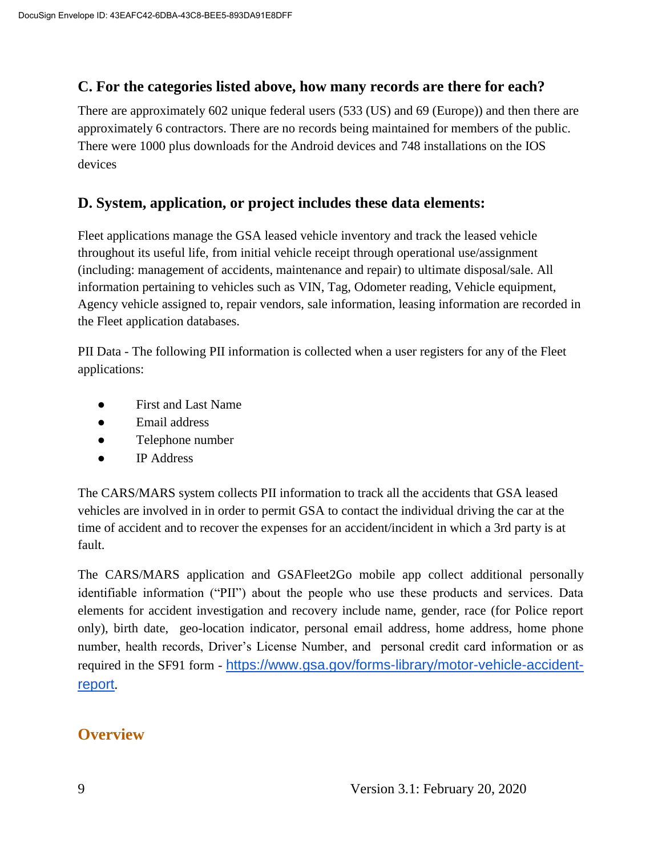#### **C. For the categories listed above, how many records are there for each?**

There are approximately 602 unique federal users (533 (US) and 69 (Europe)) and then there are approximately 6 contractors. There are no records being maintained for members of the public. There were 1000 plus downloads for the Android devices and 748 installations on the IOS devices

#### **D. System, application, or project includes these data elements:**

Fleet applications manage the GSA leased vehicle inventory and track the leased vehicle throughout its useful life, from initial vehicle receipt through operational use/assignment (including: management of accidents, maintenance and repair) to ultimate disposal/sale. All information pertaining to vehicles such as VIN, Tag, Odometer reading, Vehicle equipment, Agency vehicle assigned to, repair vendors, sale information, leasing information are recorded in the Fleet application databases.

PII Data - The following PII information is collected when a user registers for any of the Fleet applications:

- First and Last Name
- Email address
- Telephone number
- IP Address

The CARS/MARS system collects PII information to track all the accidents that GSA leased vehicles are involved in in order to permit GSA to contact the individual driving the car at the time of accident and to recover the expenses for an accident/incident in which a 3rd party is at fault.

The CARS/MARS application and GSAFleet2Go mobile app collect additional personally identifiable information ("PII") about the people who use these products and services. Data elements for accident investigation and recovery include name, gender, race (for Police report only), birth date, geo-location indicator, personal email address, home address, home phone number, health records, Driver's License Number, and personal credit card information or as required in the SF91 form - [https://www.gsa.gov/forms-library/motor-vehicle-accident](https://www.gsa.gov/forms-library/motor-vehicle-accident-report)[report](https://www.gsa.gov/forms-library/motor-vehicle-accident-report).

# **Overview**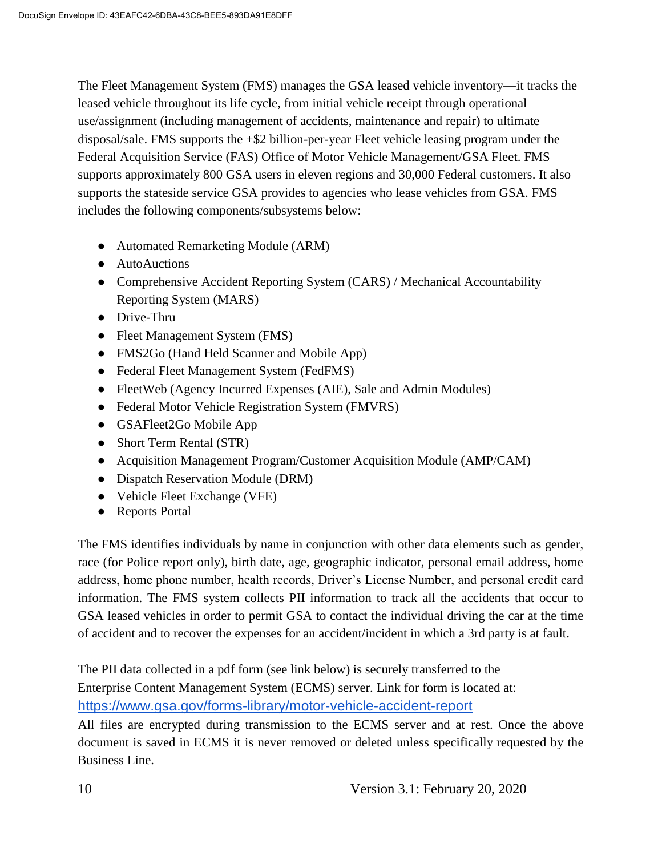The Fleet Management System (FMS) manages the GSA leased vehicle inventory—it tracks the leased vehicle throughout its life cycle, from initial vehicle receipt through operational use/assignment (including management of accidents, maintenance and repair) to ultimate disposal/sale. FMS supports the +\$2 billion-per-year Fleet vehicle leasing program under the Federal Acquisition Service (FAS) Office of Motor Vehicle Management/GSA Fleet. FMS supports approximately 800 GSA users in eleven regions and 30,000 Federal customers. It also supports the stateside service GSA provides to agencies who lease vehicles from GSA. FMS includes the following components/subsystems below:

- Automated Remarketing Module (ARM)
- AutoAuctions
- Comprehensive Accident Reporting System (CARS) / Mechanical Accountability Reporting System (MARS)
- Drive-Thru
- Fleet Management System (FMS)
- FMS2Go (Hand Held Scanner and Mobile App)
- Federal Fleet Management System (FedFMS)
- FleetWeb (Agency Incurred Expenses (AIE), Sale and Admin Modules)
- Federal Motor Vehicle Registration System (FMVRS)
- GSAFleet2Go Mobile App
- Short Term Rental (STR)
- Acquisition Management Program/Customer Acquisition Module (AMP/CAM)
- Dispatch Reservation Module (DRM)
- Vehicle Fleet Exchange (VFE)
- Reports Portal

The FMS identifies individuals by name in conjunction with other data elements such as gender, race (for Police report only), birth date, age, geographic indicator, personal email address, home address, home phone number, health records, Driver's License Number, and personal credit card information. The FMS system collects PII information to track all the accidents that occur to GSA leased vehicles in order to permit GSA to contact the individual driving the car at the time of accident and to recover the expenses for an accident/incident in which a 3rd party is at fault.

The PII data collected in a pdf form (see link below) is securely transferred to the Enterprise Content Management System (ECMS) server. Link for form is located at: <https://www.gsa.gov/forms-library/motor-vehicle-accident-report>

All files are encrypted during transmission to the ECMS server and at rest. Once the above document is saved in ECMS it is never removed or deleted unless specifically requested by the Business Line.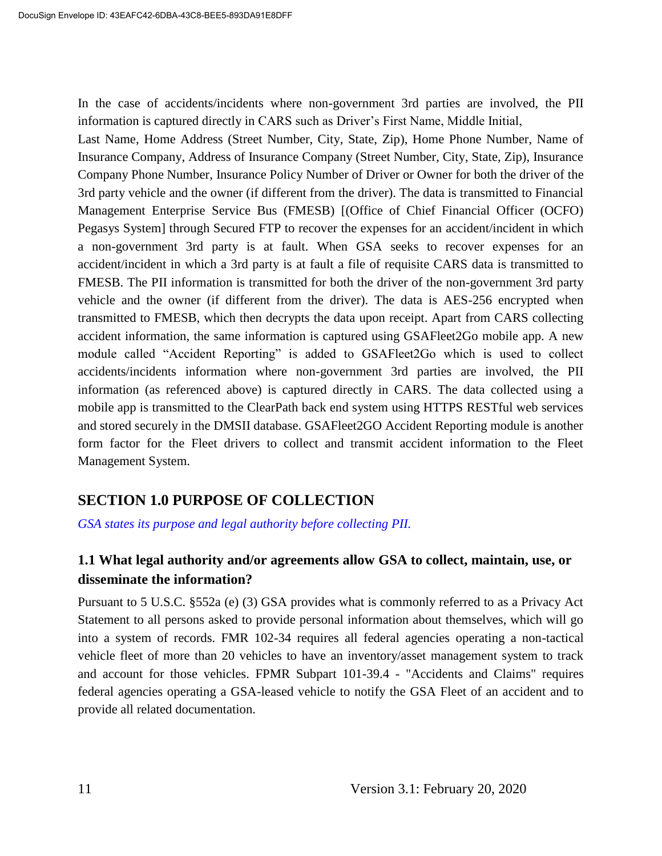In the case of accidents/incidents where non-government 3rd parties are involved, the PII information is captured directly in CARS such as Driver's First Name, Middle Initial,

Last Name, Home Address (Street Number, City, State, Zip), Home Phone Number, Name of Insurance Company, Address of Insurance Company (Street Number, City, State, Zip), Insurance Company Phone Number, Insurance Policy Number of Driver or Owner for both the driver of the 3rd party vehicle and the owner (if different from the driver). The data is transmitted to Financial Management Enterprise Service Bus (FMESB) [(Office of Chief Financial Officer (OCFO) Pegasys System] through Secured FTP to recover the expenses for an accident/incident in which a non-government 3rd party is at fault. When GSA seeks to recover expenses for an accident/incident in which a 3rd party is at fault a file of requisite CARS data is transmitted to FMESB. The PII information is transmitted for both the driver of the non-government 3rd party vehicle and the owner (if different from the driver). The data is AES-256 encrypted when transmitted to FMESB, which then decrypts the data upon receipt. Apart from CARS collecting accident information, the same information is captured using GSAFleet2Go mobile app. A new module called "Accident Reporting" is added to GSAFleet2Go which is used to collect accidents/incidents information where non-government 3rd parties are involved, the PII information (as referenced above) is captured directly in CARS. The data collected using a mobile app is transmitted to the ClearPath back end system using HTTPS RESTful web services and stored securely in the DMSII database. GSAFleet2GO Accident Reporting module is another form factor for the Fleet drivers to collect and transmit accident information to the Fleet Management System.

#### **SECTION 1.0 PURPOSE OF COLLECTION**

*GSA states its purpose and legal authority before collecting PII.*

#### **1.1 What legal authority and/or agreements allow GSA to collect, maintain, use, or disseminate the information?**

Pursuant to 5 U.S.C. §552a (e) (3) GSA provides what is commonly referred to as a Privacy Act Statement to all persons asked to provide personal information about themselves, which will go into a system of records. FMR 102-34 requires all federal agencies operating a non-tactical vehicle fleet of more than 20 vehicles to have an inventory/asset management system to track and account for those vehicles. FPMR Subpart 101-39.4 - "Accidents and Claims" requires federal agencies operating a GSA-leased vehicle to notify the GSA Fleet of an accident and to provide all related documentation.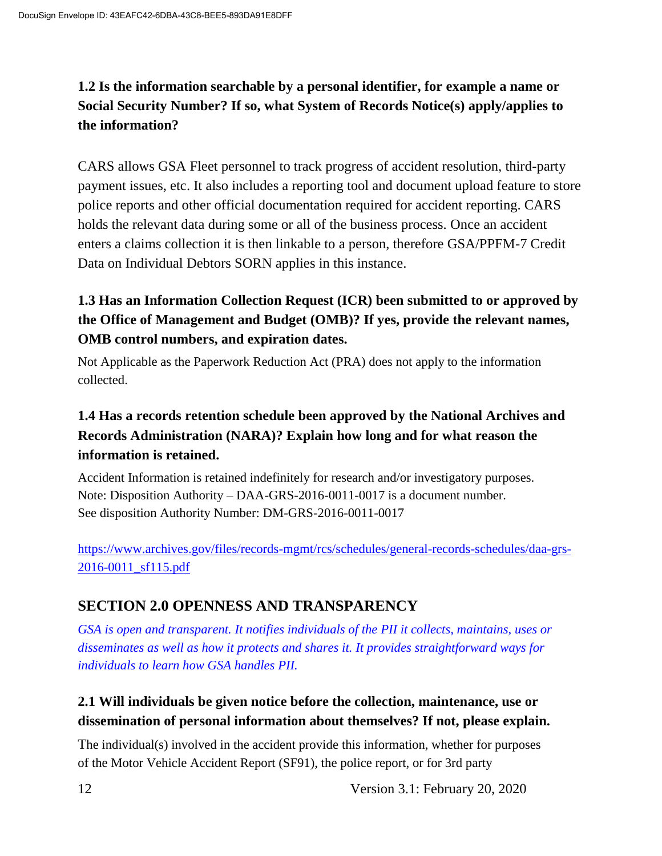# **1.2 Is the information searchable by a personal identifier, for example a name or Social Security Number? If so, what System of Records Notice(s) apply/applies to the information?**

CARS allows GSA Fleet personnel to track progress of accident resolution, third-party payment issues, etc. It also includes a reporting tool and document upload feature to store police reports and other official documentation required for accident reporting. CARS holds the relevant data during some or all of the business process. Once an accident enters a claims collection it is then linkable to a person, therefore GSA/PPFM-7 Credit Data on Individual Debtors SORN applies in this instance.

## **1.3 Has an Information Collection Request (ICR) been submitted to or approved by the Office of Management and Budget (OMB)? If yes, provide the relevant names, OMB control numbers, and expiration dates.**

Not Applicable as the Paperwork Reduction Act (PRA) does not apply to the information collected.

## **1.4 Has a records retention schedule been approved by the National Archives and Records Administration (NARA)? Explain how long and for what reason the information is retained.**

Accident Information is retained indefinitely for research and/or investigatory purposes. Note: Disposition Authority – DAA-GRS-2016-0011-0017 is a document number. See disposition Authority Number: DM-GRS-2016-0011-0017

[https://www.archives.gov/files/records-mgmt/rcs/schedules/general-records-schedules/daa-grs-](https://www.archives.gov/files/records-mgmt/rcs/schedules/general-records-schedules/daa-grs-2016-0011_sf115.pdf)[2016-0011\\_sf115.pdf](https://www.archives.gov/files/records-mgmt/rcs/schedules/general-records-schedules/daa-grs-2016-0011_sf115.pdf)

## **SECTION 2.0 OPENNESS AND TRANSPARENCY**

*GSA is open and transparent. It notifies individuals of the PII it collects, maintains, uses or disseminates as well as how it protects and shares it. It provides straightforward ways for individuals to learn how GSA handles PII.*

## **2.1 Will individuals be given notice before the collection, maintenance, use or dissemination of personal information about themselves? If not, please explain.**

The individual(s) involved in the accident provide this information, whether for purposes of the Motor Vehicle Accident Report (SF91), the police report, or for 3rd party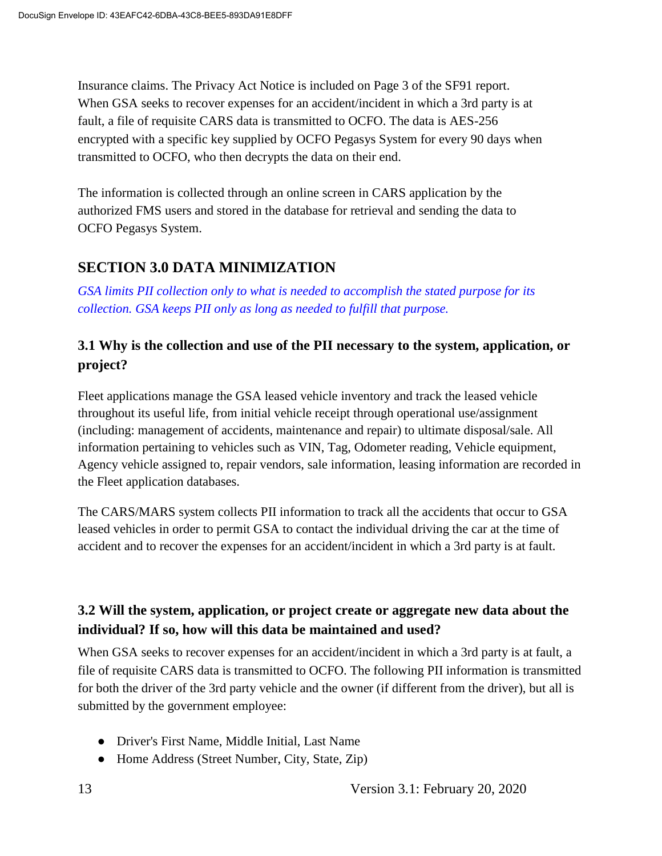Insurance claims. The Privacy Act Notice is included on Page 3 of the SF91 report. When GSA seeks to recover expenses for an accident/incident in which a 3rd party is at fault, a file of requisite CARS data is transmitted to OCFO. The data is AES-256 encrypted with a specific key supplied by OCFO Pegasys System for every 90 days when transmitted to OCFO, who then decrypts the data on their end.

The information is collected through an online screen in CARS application by the authorized FMS users and stored in the database for retrieval and sending the data to OCFO Pegasys System.

#### **SECTION 3.0 DATA MINIMIZATION**

*GSA limits PII collection only to what is needed to accomplish the stated purpose for its collection. GSA keeps PII only as long as needed to fulfill that purpose.*

#### **3.1 Why is the collection and use of the PII necessary to the system, application, or project?**

Fleet applications manage the GSA leased vehicle inventory and track the leased vehicle throughout its useful life, from initial vehicle receipt through operational use/assignment (including: management of accidents, maintenance and repair) to ultimate disposal/sale. All information pertaining to vehicles such as VIN, Tag, Odometer reading, Vehicle equipment, Agency vehicle assigned to, repair vendors, sale information, leasing information are recorded in the Fleet application databases.

The CARS/MARS system collects PII information to track all the accidents that occur to GSA leased vehicles in order to permit GSA to contact the individual driving the car at the time of accident and to recover the expenses for an accident/incident in which a 3rd party is at fault.

#### **3.2 Will the system, application, or project create or aggregate new data about the individual? If so, how will this data be maintained and used?**

When GSA seeks to recover expenses for an accident/incident in which a 3rd party is at fault, a file of requisite CARS data is transmitted to OCFO. The following PII information is transmitted for both the driver of the 3rd party vehicle and the owner (if different from the driver), but all is submitted by the government employee:

- Driver's First Name, Middle Initial, Last Name
- Home Address (Street Number, City, State, Zip)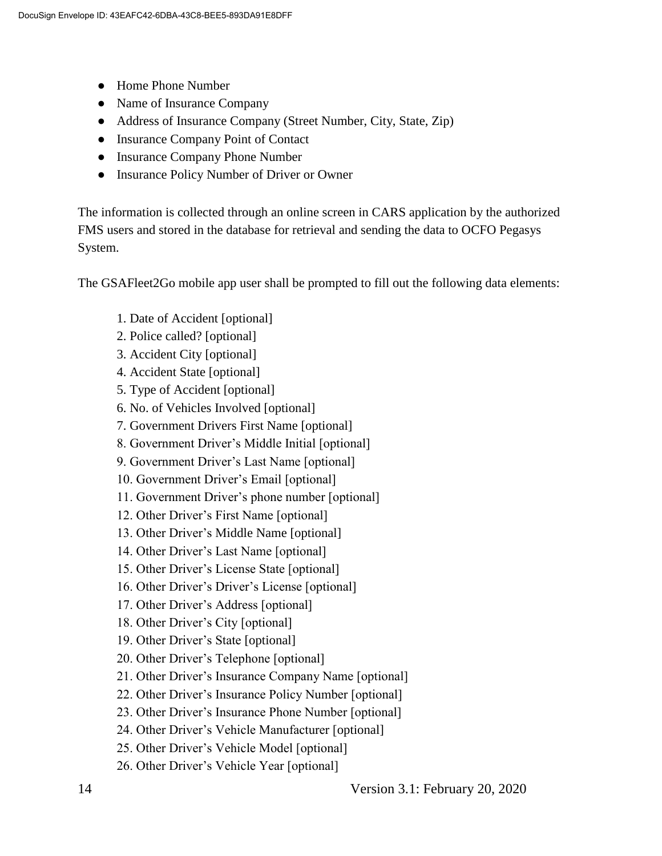- Home Phone Number
- Name of Insurance Company
- Address of Insurance Company (Street Number, City, State, Zip)
- Insurance Company Point of Contact
- Insurance Company Phone Number
- Insurance Policy Number of Driver or Owner

The information is collected through an online screen in CARS application by the authorized FMS users and stored in the database for retrieval and sending the data to OCFO Pegasys System.

The GSAFleet2Go mobile app user shall be prompted to fill out the following data elements:

- 1. Date of Accident [optional]
- 2. Police called? [optional]
- 3. Accident City [optional]
- 4. Accident State [optional]
- 5. Type of Accident [optional]
- 6. No. of Vehicles Involved [optional]
- 7. Government Drivers First Name [optional]
- 8. Government Driver's Middle Initial [optional]
- 9. Government Driver's Last Name [optional]
- 10. Government Driver's Email [optional]
- 11. Government Driver's phone number [optional]
- 12. Other Driver's First Name [optional]
- 13. Other Driver's Middle Name [optional]
- 14. Other Driver's Last Name [optional]
- 15. Other Driver's License State [optional]
- 16. Other Driver's Driver's License [optional]
- 17. Other Driver's Address [optional]
- 18. Other Driver's City [optional]
- 19. Other Driver's State [optional]
- 20. Other Driver's Telephone [optional]
- 21. Other Driver's Insurance Company Name [optional]
- 22. Other Driver's Insurance Policy Number [optional]
- 23. Other Driver's Insurance Phone Number [optional]
- 24. Other Driver's Vehicle Manufacturer [optional]
- 25. Other Driver's Vehicle Model [optional]
- 26. Other Driver's Vehicle Year [optional]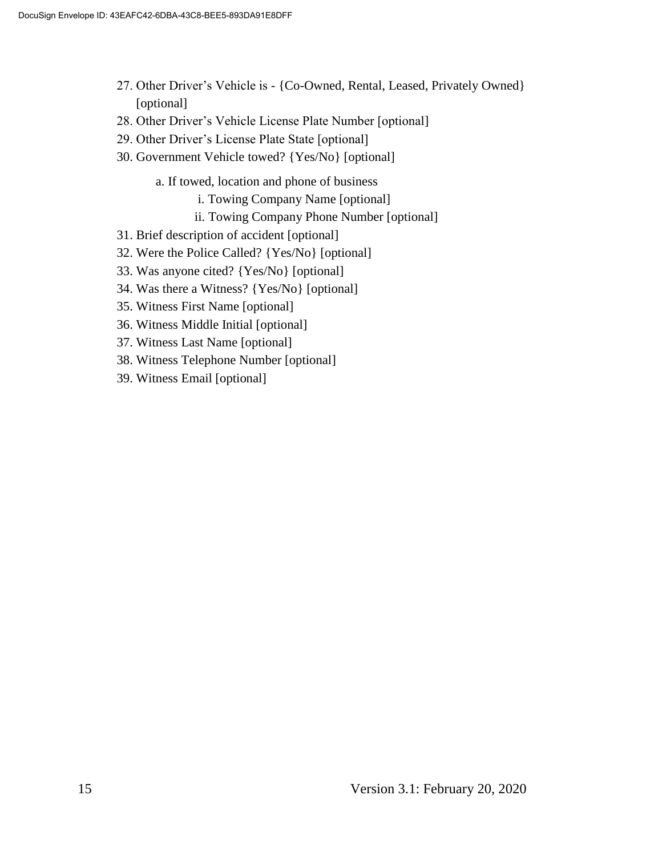- 27. Other Driver's Vehicle is {Co-Owned, Rental, Leased, Privately Owned} [optional]
- 28. Other Driver's Vehicle License Plate Number [optional]
- 29. Other Driver's License Plate State [optional]
- 30. Government Vehicle towed? {Yes/No} [optional]
	- a. If towed, location and phone of business
		- i. Towing Company Name [optional]
		- ii. Towing Company Phone Number [optional]
- 31. Brief description of accident [optional]
- 32. Were the Police Called? {Yes/No} [optional]
- 33. Was anyone cited? {Yes/No} [optional]
- 34. Was there a Witness? {Yes/No} [optional]
- 35. Witness First Name [optional]
- 36. Witness Middle Initial [optional]
- 37. Witness Last Name [optional]
- 38. Witness Telephone Number [optional]
- 39. Witness Email [optional]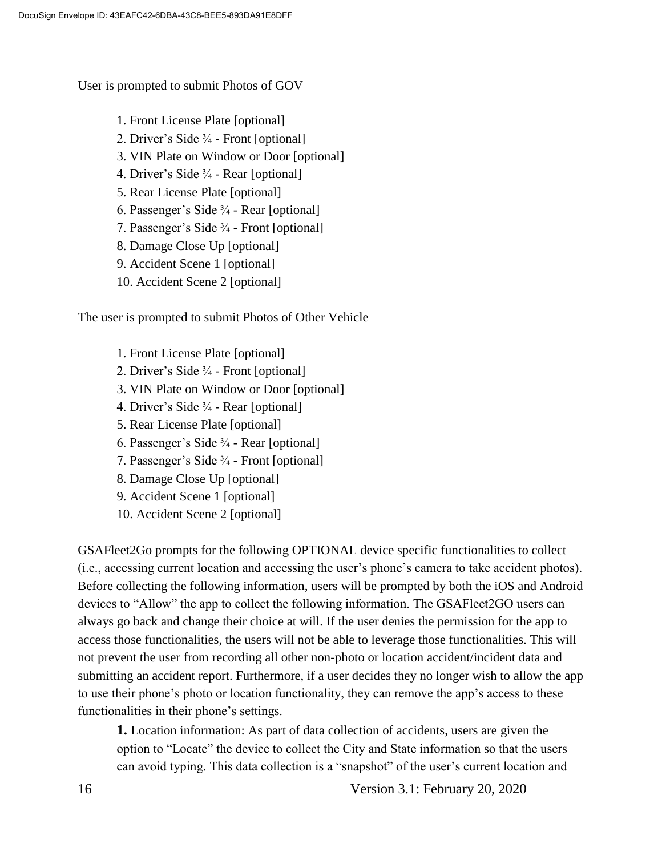User is prompted to submit Photos of GOV

- 1. Front License Plate [optional]
- 2. Driver's Side ¾ Front [optional]
- 3. VIN Plate on Window or Door [optional]
- 4. Driver's Side  $\frac{3}{4}$  Rear [optional]
- 5. Rear License Plate [optional]
- 6. Passenger's Side  $\frac{3}{4}$  Rear [optional]
- 7. Passenger's Side ¾ Front [optional]
- 8. Damage Close Up [optional]
- 9. Accident Scene 1 [optional]
- 10. Accident Scene 2 [optional]

The user is prompted to submit Photos of Other Vehicle

- 1. Front License Plate [optional]
- 2. Driver's Side ¾ Front [optional]
- 3. VIN Plate on Window or Door [optional]
- 4. Driver's Side  $\frac{3}{4}$  Rear [optional]
- 5. Rear License Plate [optional]
- 6. Passenger's Side  $\frac{3}{4}$  Rear [optional]
- 7. Passenger's Side ¾ Front [optional]
- 8. Damage Close Up [optional]
- 9. Accident Scene 1 [optional]
- 10. Accident Scene 2 [optional]

GSAFleet2Go prompts for the following OPTIONAL device specific functionalities to collect (i.e., accessing current location and accessing the user's phone's camera to take accident photos). Before collecting the following information, users will be prompted by both the iOS and Android devices to "Allow" the app to collect the following information. The GSAFleet2GO users can always go back and change their choice at will. If the user denies the permission for the app to access those functionalities, the users will not be able to leverage those functionalities. This will not prevent the user from recording all other non-photo or location accident/incident data and submitting an accident report. Furthermore, if a user decides they no longer wish to allow the app to use their phone's photo or location functionality, they can remove the app's access to these functionalities in their phone's settings.

**1.** Location information: As part of data collection of accidents, users are given the option to "Locate" the device to collect the City and State information so that the users can avoid typing. This data collection is a "snapshot" of the user's current location and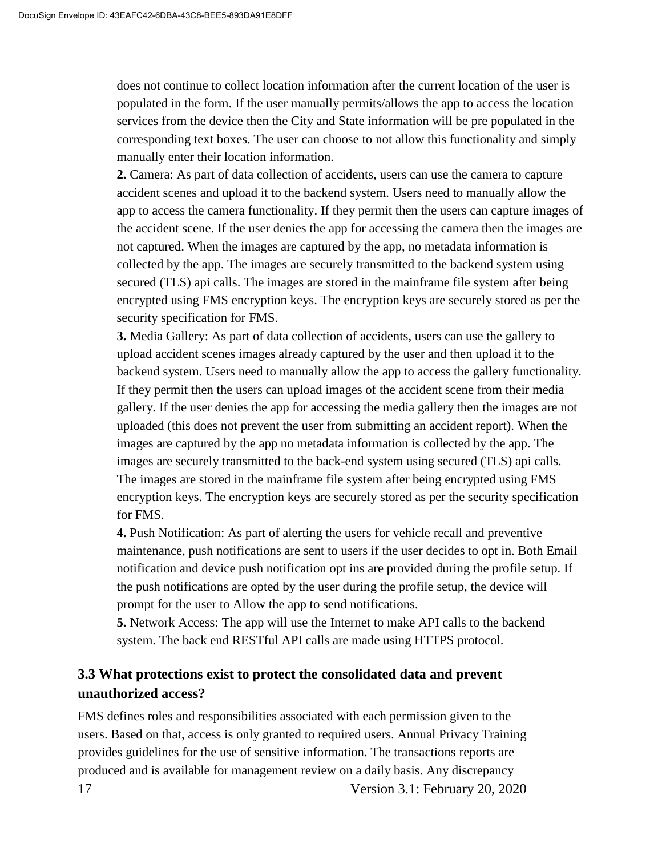does not continue to collect location information after the current location of the user is populated in the form. If the user manually permits/allows the app to access the location services from the device then the City and State information will be pre populated in the corresponding text boxes. The user can choose to not allow this functionality and simply manually enter their location information.

**2.** Camera: As part of data collection of accidents, users can use the camera to capture accident scenes and upload it to the backend system. Users need to manually allow the app to access the camera functionality. If they permit then the users can capture images of the accident scene. If the user denies the app for accessing the camera then the images are not captured. When the images are captured by the app, no metadata information is collected by the app. The images are securely transmitted to the backend system using secured (TLS) api calls. The images are stored in the mainframe file system after being encrypted using FMS encryption keys. The encryption keys are securely stored as per the security specification for FMS.

**3.** Media Gallery: As part of data collection of accidents, users can use the gallery to upload accident scenes images already captured by the user and then upload it to the backend system. Users need to manually allow the app to access the gallery functionality. If they permit then the users can upload images of the accident scene from their media gallery. If the user denies the app for accessing the media gallery then the images are not uploaded (this does not prevent the user from submitting an accident report). When the images are captured by the app no metadata information is collected by the app. The images are securely transmitted to the back-end system using secured (TLS) api calls. The images are stored in the mainframe file system after being encrypted using FMS encryption keys. The encryption keys are securely stored as per the security specification for FMS.

**4.** Push Notification: As part of alerting the users for vehicle recall and preventive maintenance, push notifications are sent to users if the user decides to opt in. Both Email notification and device push notification opt ins are provided during the profile setup. If the push notifications are opted by the user during the profile setup, the device will prompt for the user to Allow the app to send notifications.

**5.** Network Access: The app will use the Internet to make API calls to the backend system. The back end RESTful API calls are made using HTTPS protocol.

#### **3.3 What protections exist to protect the consolidated data and prevent unauthorized access?**

17 Version 3.1: February 20, 2020 FMS defines roles and responsibilities associated with each permission given to the users. Based on that, access is only granted to required users. Annual Privacy Training provides guidelines for the use of sensitive information. The transactions reports are produced and is available for management review on a daily basis. Any discrepancy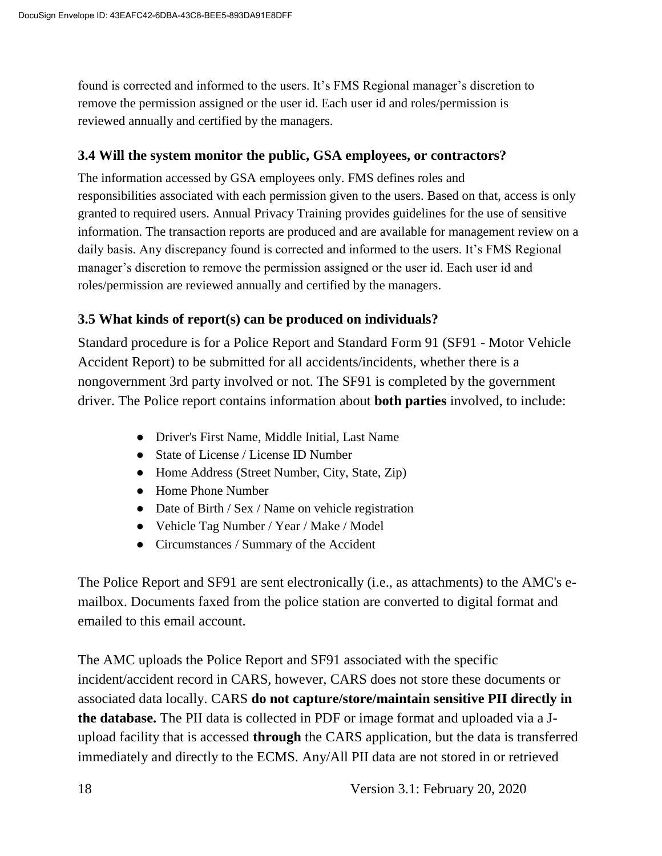found is corrected and informed to the users. It's FMS Regional manager's discretion to remove the permission assigned or the user id. Each user id and roles/permission is reviewed annually and certified by the managers.

#### **3.4 Will the system monitor the public, GSA employees, or contractors?**

The information accessed by GSA employees only. FMS defines roles and responsibilities associated with each permission given to the users. Based on that, access is only granted to required users. Annual Privacy Training provides guidelines for the use of sensitive information. The transaction reports are produced and are available for management review on a daily basis. Any discrepancy found is corrected and informed to the users. It's FMS Regional manager's discretion to remove the permission assigned or the user id. Each user id and roles/permission are reviewed annually and certified by the managers.

#### **3.5 What kinds of report(s) can be produced on individuals?**

Standard procedure is for a Police Report and Standard Form 91 (SF91 - Motor Vehicle Accident Report) to be submitted for all accidents/incidents, whether there is a nongovernment 3rd party involved or not. The SF91 is completed by the government driver. The Police report contains information about **both parties** involved, to include:

- Driver's First Name, Middle Initial, Last Name
- State of License / License ID Number
- Home Address (Street Number, City, State, Zip)
- Home Phone Number
- Date of Birth / Sex / Name on vehicle registration
- Vehicle Tag Number / Year / Make / Model
- Circumstances / Summary of the Accident

The Police Report and SF91 are sent electronically (i.e., as attachments) to the AMC's emailbox. Documents faxed from the police station are converted to digital format and emailed to this email account.

The AMC uploads the Police Report and SF91 associated with the specific incident/accident record in CARS, however, CARS does not store these documents or associated data locally. CARS **do not capture/store/maintain sensitive PII directly in the database.** The PII data is collected in PDF or image format and uploaded via a Jupload facility that is accessed **through** the CARS application, but the data is transferred immediately and directly to the ECMS. Any/All PII data are not stored in or retrieved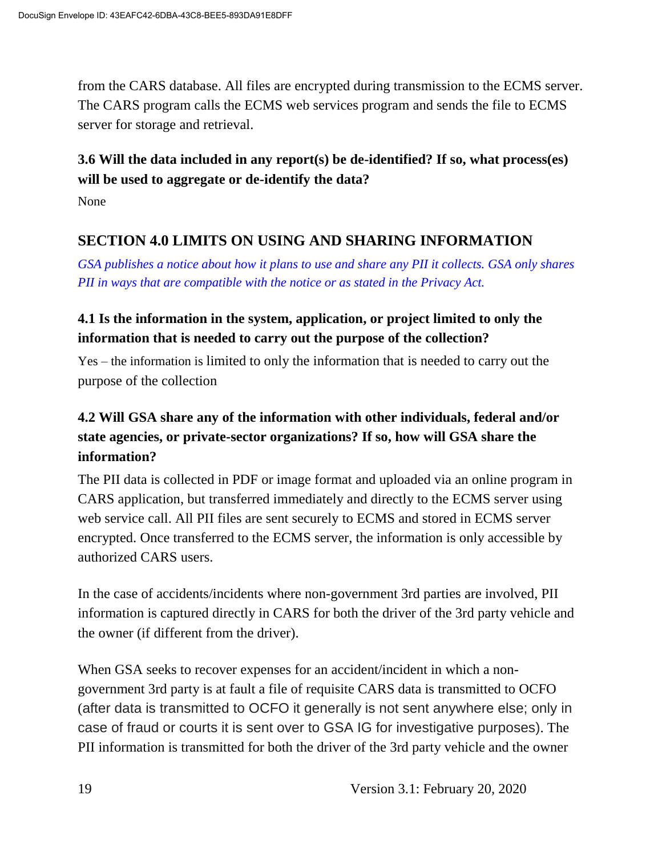from the CARS database. All files are encrypted during transmission to the ECMS server. The CARS program calls the ECMS web services program and sends the file to ECMS server for storage and retrieval.

## **3.6 Will the data included in any report(s) be de-identified? If so, what process(es) will be used to aggregate or de-identify the data?**

None

## **SECTION 4.0 LIMITS ON USING AND SHARING INFORMATION**

*GSA publishes a notice about how it plans to use and share any PII it collects. GSA only shares PII in ways that are compatible with the notice or as stated in the Privacy Act.*

## **4.1 Is the information in the system, application, or project limited to only the information that is needed to carry out the purpose of the collection?**

Yes – the information is limited to only the information that is needed to carry out the purpose of the collection

# **4.2 Will GSA share any of the information with other individuals, federal and/or state agencies, or private-sector organizations? If so, how will GSA share the information?**

The PII data is collected in PDF or image format and uploaded via an online program in CARS application, but transferred immediately and directly to the ECMS server using web service call. All PII files are sent securely to ECMS and stored in ECMS server encrypted. Once transferred to the ECMS server, the information is only accessible by authorized CARS users.

In the case of accidents/incidents where non-government 3rd parties are involved, PII information is captured directly in CARS for both the driver of the 3rd party vehicle and the owner (if different from the driver).

When GSA seeks to recover expenses for an accident/incident in which a nongovernment 3rd party is at fault a file of requisite CARS data is transmitted to OCFO (after data is transmitted to OCFO it generally is not sent anywhere else; only in case of fraud or courts it is sent over to GSA IG for investigative purposes). The PII information is transmitted for both the driver of the 3rd party vehicle and the owner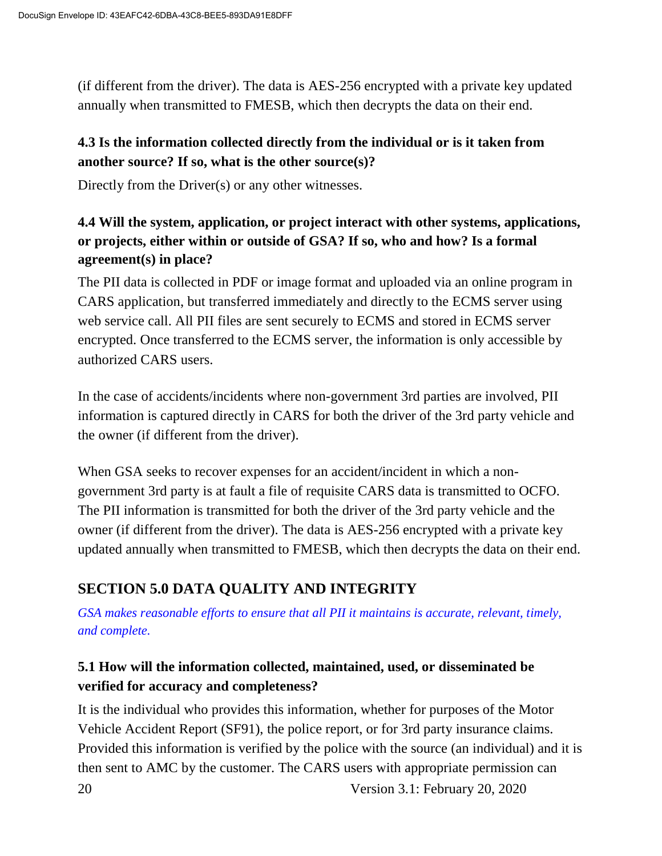(if different from the driver). The data is AES-256 encrypted with a private key updated annually when transmitted to FMESB, which then decrypts the data on their end.

#### **4.3 Is the information collected directly from the individual or is it taken from another source? If so, what is the other source(s)?**

Directly from the Driver(s) or any other witnesses.

## **4.4 Will the system, application, or project interact with other systems, applications, or projects, either within or outside of GSA? If so, who and how? Is a formal agreement(s) in place?**

The PII data is collected in PDF or image format and uploaded via an online program in CARS application, but transferred immediately and directly to the ECMS server using web service call. All PII files are sent securely to ECMS and stored in ECMS server encrypted. Once transferred to the ECMS server, the information is only accessible by authorized CARS users.

In the case of accidents/incidents where non-government 3rd parties are involved, PII information is captured directly in CARS for both the driver of the 3rd party vehicle and the owner (if different from the driver).

When GSA seeks to recover expenses for an accident/incident in which a nongovernment 3rd party is at fault a file of requisite CARS data is transmitted to OCFO. The PII information is transmitted for both the driver of the 3rd party vehicle and the owner (if different from the driver). The data is AES-256 encrypted with a private key updated annually when transmitted to FMESB, which then decrypts the data on their end.

# **SECTION 5.0 DATA QUALITY AND INTEGRITY**

*GSA makes reasonable efforts to ensure that all PII it maintains is accurate, relevant, timely, and complete.*

## **5.1 How will the information collected, maintained, used, or disseminated be verified for accuracy and completeness?**

20 Version 3.1: February 20, 2020 It is the individual who provides this information, whether for purposes of the Motor Vehicle Accident Report (SF91), the police report, or for 3rd party insurance claims. Provided this information is verified by the police with the source (an individual) and it is then sent to AMC by the customer. The CARS users with appropriate permission can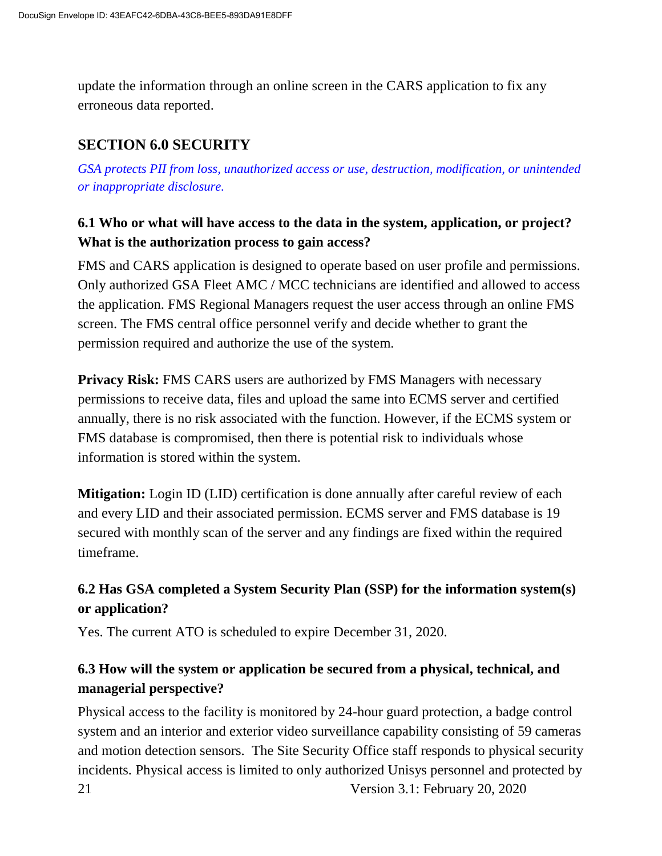update the information through an online screen in the CARS application to fix any erroneous data reported.

## **SECTION 6.0 SECURITY**

*GSA protects PII from loss, unauthorized access or use, destruction, modification, or unintended or inappropriate disclosure.*

## **6.1 Who or what will have access to the data in the system, application, or project? What is the authorization process to gain access?**

FMS and CARS application is designed to operate based on user profile and permissions. Only authorized GSA Fleet AMC / MCC technicians are identified and allowed to access the application. FMS Regional Managers request the user access through an online FMS screen. The FMS central office personnel verify and decide whether to grant the permission required and authorize the use of the system.

**Privacy Risk:** FMS CARS users are authorized by FMS Managers with necessary permissions to receive data, files and upload the same into ECMS server and certified annually, there is no risk associated with the function. However, if the ECMS system or FMS database is compromised, then there is potential risk to individuals whose information is stored within the system.

**Mitigation:** Login ID (LID) certification is done annually after careful review of each and every LID and their associated permission. ECMS server and FMS database is 19 secured with monthly scan of the server and any findings are fixed within the required timeframe.

## **6.2 Has GSA completed a System Security Plan (SSP) for the information system(s) or application?**

Yes. The current ATO is scheduled to expire December 31, 2020.

## **6.3 How will the system or application be secured from a physical, technical, and managerial perspective?**

21 Version 3.1: February 20, 2020 Physical access to the facility is monitored by 24-hour guard protection, a badge control system and an interior and exterior video surveillance capability consisting of 59 cameras and motion detection sensors. The Site Security Office staff responds to physical security incidents. Physical access is limited to only authorized Unisys personnel and protected by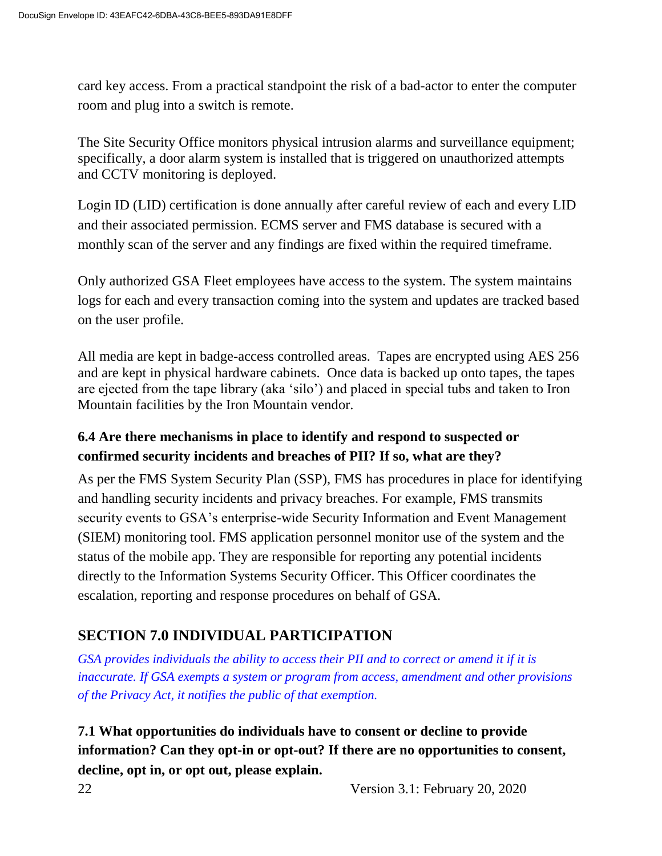card key access. From a practical standpoint the risk of a bad-actor to enter the computer room and plug into a switch is remote.

The Site Security Office monitors physical intrusion alarms and surveillance equipment; specifically, a door alarm system is installed that is triggered on unauthorized attempts and CCTV monitoring is deployed.

Login ID (LID) certification is done annually after careful review of each and every LID and their associated permission. ECMS server and FMS database is secured with a monthly scan of the server and any findings are fixed within the required timeframe.

Only authorized GSA Fleet employees have access to the system. The system maintains logs for each and every transaction coming into the system and updates are tracked based on the user profile.

All media are kept in badge-access controlled areas. Tapes are encrypted using AES 256 and are kept in physical hardware cabinets. Once data is backed up onto tapes, the tapes are ejected from the tape library (aka 'silo') and placed in special tubs and taken to Iron Mountain facilities by the Iron Mountain vendor.

#### **6.4 Are there mechanisms in place to identify and respond to suspected or confirmed security incidents and breaches of PII? If so, what are they?**

As per the FMS System Security Plan (SSP), FMS has procedures in place for identifying and handling security incidents and privacy breaches. For example, FMS transmits security events to GSA's enterprise-wide Security Information and Event Management (SIEM) monitoring tool. FMS application personnel monitor use of the system and the status of the mobile app. They are responsible for reporting any potential incidents directly to the Information Systems Security Officer. This Officer coordinates the escalation, reporting and response procedures on behalf of GSA.

# **SECTION 7.0 INDIVIDUAL PARTICIPATION**

*GSA provides individuals the ability to access their PII and to correct or amend it if it is inaccurate. If GSA exempts a system or program from access, amendment and other provisions of the Privacy Act, it notifies the public of that exemption.*

**7.1 What opportunities do individuals have to consent or decline to provide information? Can they opt-in or opt-out? If there are no opportunities to consent, decline, opt in, or opt out, please explain.**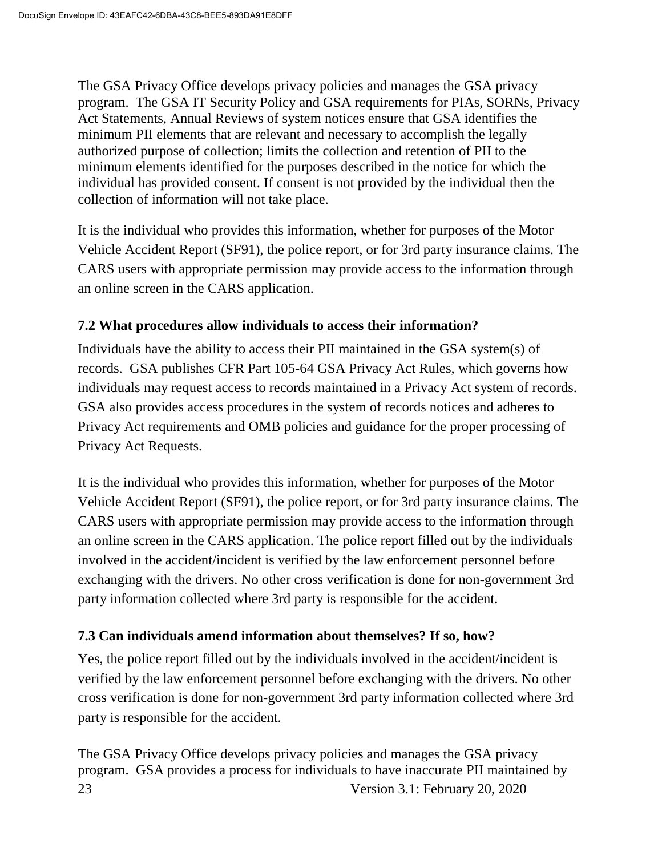The GSA Privacy Office develops privacy policies and manages the GSA privacy program. The GSA IT Security Policy and GSA requirements for PIAs, SORNs, Privacy Act Statements, Annual Reviews of system notices ensure that GSA identifies the minimum PII elements that are relevant and necessary to accomplish the legally authorized purpose of collection; limits the collection and retention of PII to the minimum elements identified for the purposes described in the notice for which the individual has provided consent. If consent is not provided by the individual then the collection of information will not take place.

It is the individual who provides this information, whether for purposes of the Motor Vehicle Accident Report (SF91), the police report, or for 3rd party insurance claims. The CARS users with appropriate permission may provide access to the information through an online screen in the CARS application.

#### **7.2 What procedures allow individuals to access their information?**

Individuals have the ability to access their PII maintained in the GSA system(s) of records. GSA publishes CFR Part 105-64 GSA Privacy Act Rules, which governs how individuals may request access to records maintained in a Privacy Act system of records. GSA also provides access procedures in the system of records notices and adheres to Privacy Act requirements and OMB policies and guidance for the proper processing of Privacy Act Requests.

It is the individual who provides this information, whether for purposes of the Motor Vehicle Accident Report (SF91), the police report, or for 3rd party insurance claims. The CARS users with appropriate permission may provide access to the information through an online screen in the CARS application. The police report filled out by the individuals involved in the accident/incident is verified by the law enforcement personnel before exchanging with the drivers. No other cross verification is done for non-government 3rd party information collected where 3rd party is responsible for the accident.

#### **7.3 Can individuals amend information about themselves? If so, how?**

Yes, the police report filled out by the individuals involved in the accident/incident is verified by the law enforcement personnel before exchanging with the drivers. No other cross verification is done for non-government 3rd party information collected where 3rd party is responsible for the accident.

23 Version 3.1: February 20, 2020 The GSA Privacy Office develops privacy policies and manages the GSA privacy program. GSA provides a process for individuals to have inaccurate PII maintained by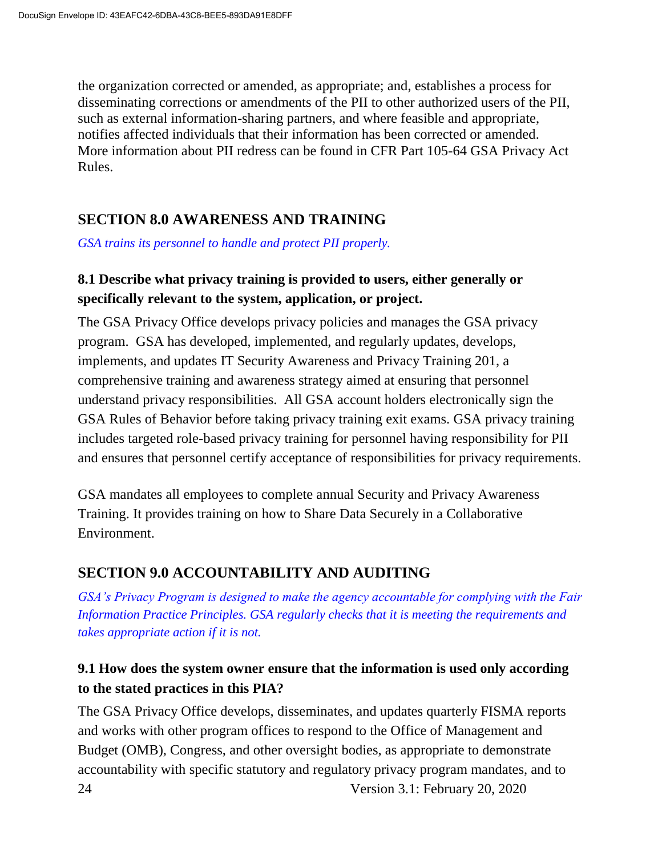the organization corrected or amended, as appropriate; and, establishes a process for disseminating corrections or amendments of the PII to other authorized users of the PII, such as external information-sharing partners, and where feasible and appropriate, notifies affected individuals that their information has been corrected or amended. More information about PII redress can be found in CFR Part 105-64 GSA Privacy Act Rules.

## **SECTION 8.0 AWARENESS AND TRAINING**

*GSA trains its personnel to handle and protect PII properly.*

#### **8.1 Describe what privacy training is provided to users, either generally or specifically relevant to the system, application, or project.**

The GSA Privacy Office develops privacy policies and manages the GSA privacy program. GSA has developed, implemented, and regularly updates, develops, implements, and updates IT Security Awareness and Privacy Training 201, a comprehensive training and awareness strategy aimed at ensuring that personnel understand privacy responsibilities. All GSA account holders electronically sign the GSA Rules of Behavior before taking privacy training exit exams. GSA privacy training includes targeted role-based privacy training for personnel having responsibility for PII and ensures that personnel certify acceptance of responsibilities for privacy requirements.

GSA mandates all employees to complete annual Security and Privacy Awareness Training. It provides training on how to Share Data Securely in a Collaborative Environment.

#### **SECTION 9.0 ACCOUNTABILITY AND AUDITING**

*GSA's Privacy Program is designed to make the agency accountable for complying with the Fair Information Practice Principles. GSA regularly checks that it is meeting the requirements and takes appropriate action if it is not.*

#### **9.1 How does the system owner ensure that the information is used only according to the stated practices in this PIA?**

24 Version 3.1: February 20, 2020 The GSA Privacy Office develops, disseminates, and updates quarterly FISMA reports and works with other program offices to respond to the Office of Management and Budget (OMB), Congress, and other oversight bodies, as appropriate to demonstrate accountability with specific statutory and regulatory privacy program mandates, and to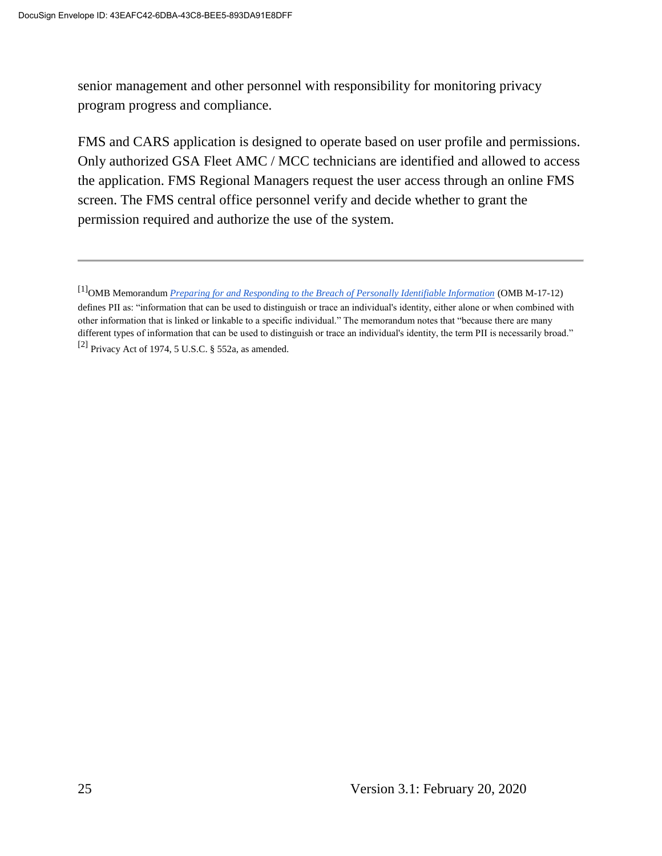senior management and other personnel with responsibility for monitoring privacy program progress and compliance.

FMS and CARS application is designed to operate based on user profile and permissions. Only authorized GSA Fleet AMC / MCC technicians are identified and allowed to access the application. FMS Regional Managers request the user access through an online FMS screen. The FMS central office personnel verify and decide whether to grant the permission required and authorize the use of the system.

<sup>[1]</sup>OMB Memorandum *[Preparing for and Responding to the Breach of Personally Identifiable Information](https://obamawhitehouse.archives.gov/sites/default/files/omb/memoranda/2017/m-17-12_0.pdf)* (OMB M-17-12) defines PII as: "information that can be used to distinguish or trace an individual's identity, either alone or when combined with other information that is linked or linkable to a specific individual." The memorandum notes that "because there are many different types of information that can be used to distinguish or trace an individual's identity, the term PII is necessarily broad." [2] Privacy Act of 1974, 5 U.S.C. § 552a, as amended.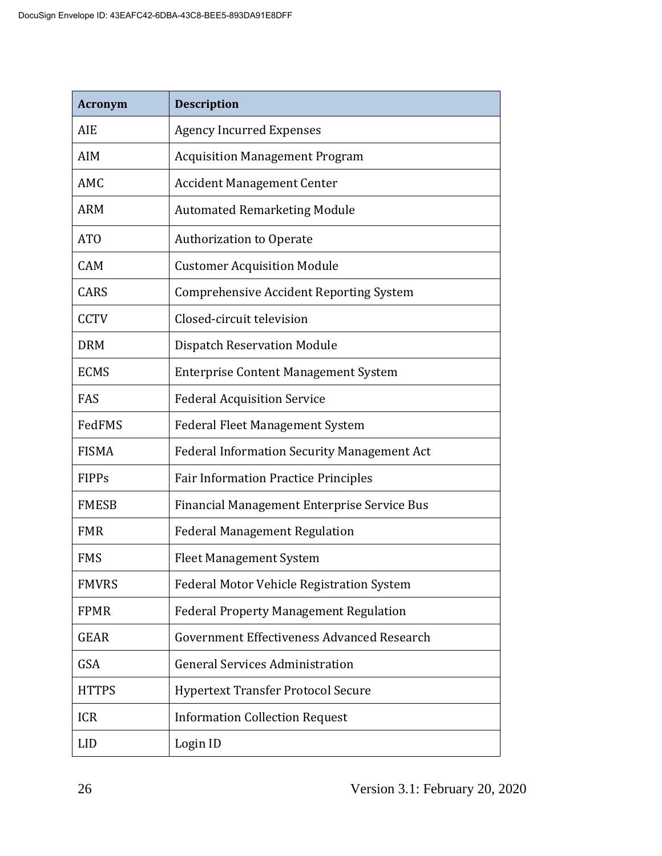| <b>Acronym</b>  | <b>Description</b>                                 |
|-----------------|----------------------------------------------------|
| AIE             | <b>Agency Incurred Expenses</b>                    |
| <b>AIM</b>      | <b>Acquisition Management Program</b>              |
| AMC             | <b>Accident Management Center</b>                  |
| <b>ARM</b>      | <b>Automated Remarketing Module</b>                |
| AT <sub>O</sub> | <b>Authorization to Operate</b>                    |
| <b>CAM</b>      | <b>Customer Acquisition Module</b>                 |
| CARS            | <b>Comprehensive Accident Reporting System</b>     |
| <b>CCTV</b>     | Closed-circuit television                          |
| <b>DRM</b>      | <b>Dispatch Reservation Module</b>                 |
| <b>ECMS</b>     | <b>Enterprise Content Management System</b>        |
| FAS             | <b>Federal Acquisition Service</b>                 |
| FedFMS          | <b>Federal Fleet Management System</b>             |
| <b>FISMA</b>    | <b>Federal Information Security Management Act</b> |
| <b>FIPPs</b>    | <b>Fair Information Practice Principles</b>        |
| <b>FMESB</b>    | Financial Management Enterprise Service Bus        |
| <b>FMR</b>      | <b>Federal Management Regulation</b>               |
| <b>FMS</b>      | <b>Fleet Management System</b>                     |
| <b>FMVRS</b>    | Federal Motor Vehicle Registration System          |
| <b>FPMR</b>     | <b>Federal Property Management Regulation</b>      |
| <b>GEAR</b>     | Government Effectiveness Advanced Research         |
| GSA             | <b>General Services Administration</b>             |
| <b>HTTPS</b>    | <b>Hypertext Transfer Protocol Secure</b>          |
| <b>ICR</b>      | <b>Information Collection Request</b>              |
| <b>LID</b>      | Login ID                                           |